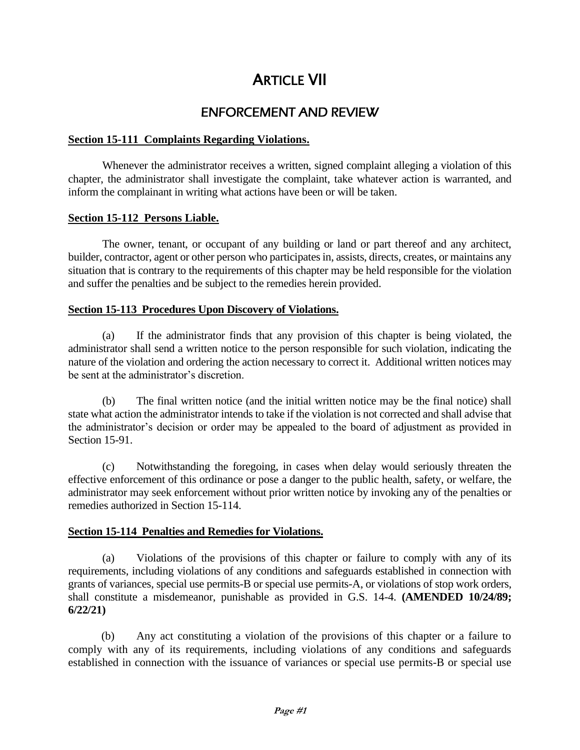# **ARTICLE VII**

## ENFORCEMENT AND REVIEW

## **Section 15-111 Complaints Regarding Violations.**

Whenever the administrator receives a written, signed complaint alleging a violation of this chapter, the administrator shall investigate the complaint, take whatever action is warranted, and inform the complainant in writing what actions have been or will be taken.

#### **Section 15-112 Persons Liable.**

The owner, tenant, or occupant of any building or land or part thereof and any architect, builder, contractor, agent or other person who participates in, assists, directs, creates, or maintains any situation that is contrary to the requirements of this chapter may be held responsible for the violation and suffer the penalties and be subject to the remedies herein provided.

### **Section 15-113 Procedures Upon Discovery of Violations.**

(a) If the administrator finds that any provision of this chapter is being violated, the administrator shall send a written notice to the person responsible for such violation, indicating the nature of the violation and ordering the action necessary to correct it. Additional written notices may be sent at the administrator's discretion.

(b) The final written notice (and the initial written notice may be the final notice) shall state what action the administrator intends to take if the violation is not corrected and shall advise that the administrator's decision or order may be appealed to the board of adjustment as provided in Section 15-91.

(c) Notwithstanding the foregoing, in cases when delay would seriously threaten the effective enforcement of this ordinance or pose a danger to the public health, safety, or welfare, the administrator may seek enforcement without prior written notice by invoking any of the penalties or remedies authorized in Section 15-114.

#### **Section 15-114 Penalties and Remedies for Violations.**

(a) Violations of the provisions of this chapter or failure to comply with any of its requirements, including violations of any conditions and safeguards established in connection with grants of variances, special use permits-B or special use permits-A, or violations of stop work orders, shall constitute a misdemeanor, punishable as provided in G.S. 14-4. **(AMENDED 10/24/89; 6/22/21)**

(b) Any act constituting a violation of the provisions of this chapter or a failure to comply with any of its requirements, including violations of any conditions and safeguards established in connection with the issuance of variances or special use permits-B or special use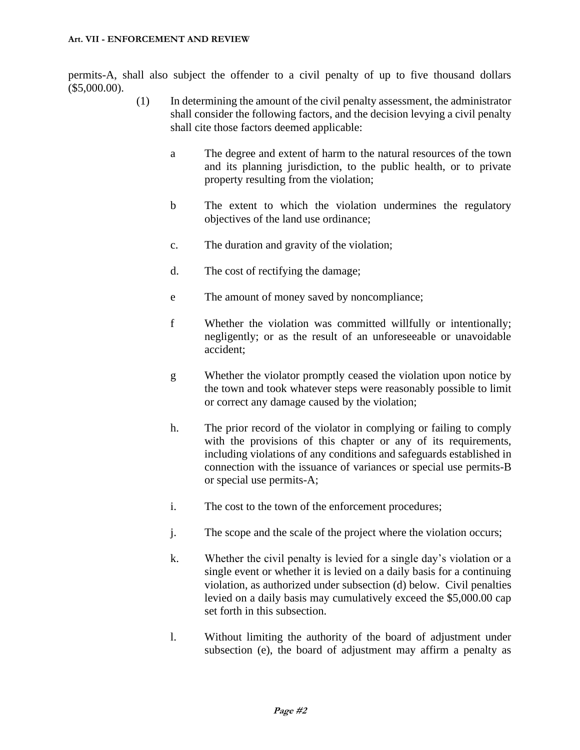permits-A, shall also subject the offender to a civil penalty of up to five thousand dollars (\$5,000.00).

- (1) In determining the amount of the civil penalty assessment, the administrator shall consider the following factors, and the decision levying a civil penalty shall cite those factors deemed applicable:
	- a The degree and extent of harm to the natural resources of the town and its planning jurisdiction, to the public health, or to private property resulting from the violation;
	- b The extent to which the violation undermines the regulatory objectives of the land use ordinance;
	- c. The duration and gravity of the violation;
	- d. The cost of rectifying the damage;
	- e The amount of money saved by noncompliance;
	- f Whether the violation was committed willfully or intentionally; negligently; or as the result of an unforeseeable or unavoidable accident;
	- g Whether the violator promptly ceased the violation upon notice by the town and took whatever steps were reasonably possible to limit or correct any damage caused by the violation;
	- h. The prior record of the violator in complying or failing to comply with the provisions of this chapter or any of its requirements, including violations of any conditions and safeguards established in connection with the issuance of variances or special use permits-B or special use permits-A;
	- i. The cost to the town of the enforcement procedures;
	- j. The scope and the scale of the project where the violation occurs;
	- k. Whether the civil penalty is levied for a single day's violation or a single event or whether it is levied on a daily basis for a continuing violation, as authorized under subsection (d) below. Civil penalties levied on a daily basis may cumulatively exceed the \$5,000.00 cap set forth in this subsection.
	- l. Without limiting the authority of the board of adjustment under subsection (e), the board of adjustment may affirm a penalty as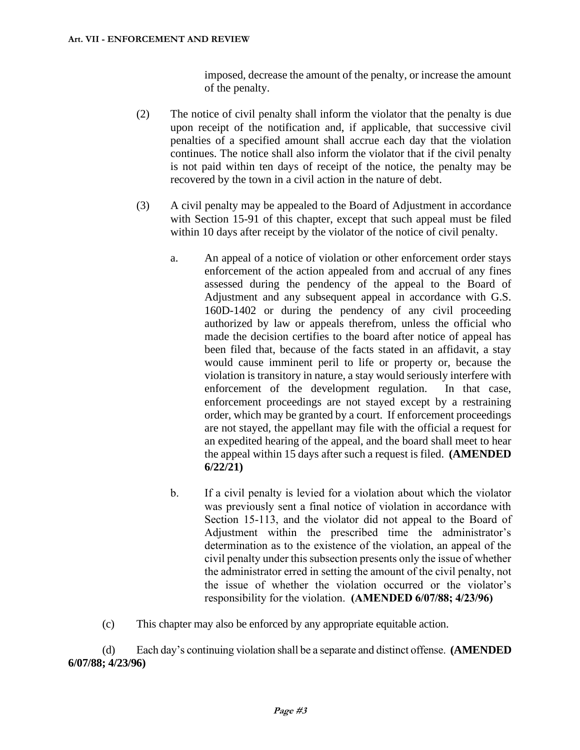imposed, decrease the amount of the penalty, or increase the amount of the penalty.

- (2) The notice of civil penalty shall inform the violator that the penalty is due upon receipt of the notification and, if applicable, that successive civil penalties of a specified amount shall accrue each day that the violation continues. The notice shall also inform the violator that if the civil penalty is not paid within ten days of receipt of the notice, the penalty may be recovered by the town in a civil action in the nature of debt.
- (3) A civil penalty may be appealed to the Board of Adjustment in accordance with Section 15-91 of this chapter, except that such appeal must be filed within 10 days after receipt by the violator of the notice of civil penalty.
	- a. An appeal of a notice of violation or other enforcement order stays enforcement of the action appealed from and accrual of any fines assessed during the pendency of the appeal to the Board of Adjustment and any subsequent appeal in accordance with G.S. 160D-1402 or during the pendency of any civil proceeding authorized by law or appeals therefrom, unless the official who made the decision certifies to the board after notice of appeal has been filed that, because of the facts stated in an affidavit, a stay would cause imminent peril to life or property or, because the violation is transitory in nature, a stay would seriously interfere with enforcement of the development regulation. In that case, enforcement proceedings are not stayed except by a restraining order, which may be granted by a court. If enforcement proceedings are not stayed, the appellant may file with the official a request for an expedited hearing of the appeal, and the board shall meet to hear the appeal within 15 days after such a request is filed. **(AMENDED 6/22/21)**
	- b. If a civil penalty is levied for a violation about which the violator was previously sent a final notice of violation in accordance with Section 15-113, and the violator did not appeal to the Board of Adjustment within the prescribed time the administrator's determination as to the existence of the violation, an appeal of the civil penalty under this subsection presents only the issue of whether the administrator erred in setting the amount of the civil penalty, not the issue of whether the violation occurred or the violator's responsibility for the violation. **(AMENDED 6/07/88; 4/23/96)**
- (c) This chapter may also be enforced by any appropriate equitable action.

(d) Each day's continuing violation shall be a separate and distinct offense. **(AMENDED 6/07/88; 4/23/96)**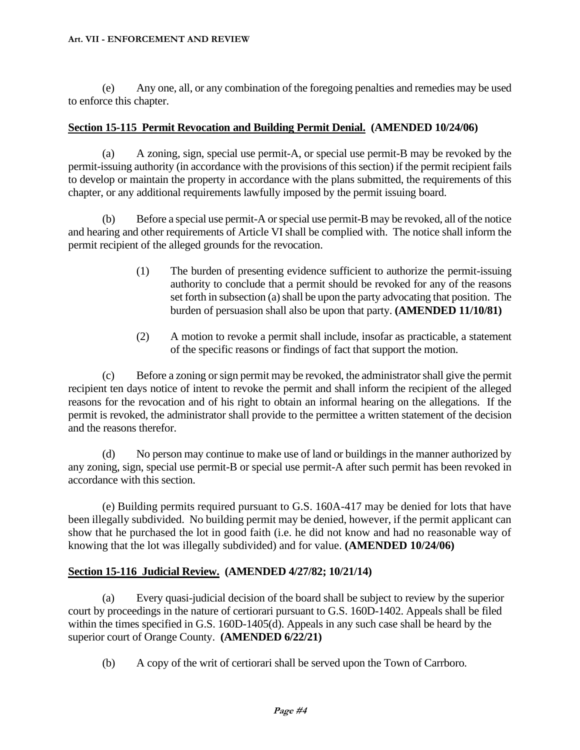#### **Art. VII - ENFORCEMENT AND REVIEW**

(e) Any one, all, or any combination of the foregoing penalties and remedies may be used to enforce this chapter.

### **Section 15-115 Permit Revocation and Building Permit Denial. (AMENDED 10/24/06)**

(a) A zoning, sign, special use permit-A, or special use permit-B may be revoked by the permit-issuing authority (in accordance with the provisions of this section) if the permit recipient fails to develop or maintain the property in accordance with the plans submitted, the requirements of this chapter, or any additional requirements lawfully imposed by the permit issuing board.

(b) Before a special use permit-A or special use permit-B may be revoked, all of the notice and hearing and other requirements of Article VI shall be complied with. The notice shall inform the permit recipient of the alleged grounds for the revocation.

- (1) The burden of presenting evidence sufficient to authorize the permit-issuing authority to conclude that a permit should be revoked for any of the reasons set forth in subsection (a) shall be upon the party advocating that position. The burden of persuasion shall also be upon that party. **(AMENDED 11/10/81)**
- (2) A motion to revoke a permit shall include, insofar as practicable, a statement of the specific reasons or findings of fact that support the motion.

(c) Before a zoning or sign permit may be revoked, the administrator shall give the permit recipient ten days notice of intent to revoke the permit and shall inform the recipient of the alleged reasons for the revocation and of his right to obtain an informal hearing on the allegations. If the permit is revoked, the administrator shall provide to the permittee a written statement of the decision and the reasons therefor.

(d) No person may continue to make use of land or buildings in the manner authorized by any zoning, sign, special use permit-B or special use permit-A after such permit has been revoked in accordance with this section.

(e) Building permits required pursuant to G.S. 160A-417 may be denied for lots that have been illegally subdivided. No building permit may be denied, however, if the permit applicant can show that he purchased the lot in good faith (i.e. he did not know and had no reasonable way of knowing that the lot was illegally subdivided) and for value. **(AMENDED 10/24/06)**

#### **Section 15-116 Judicial Review. (AMENDED 4/27/82; 10/21/14)**

(a) Every quasi-judicial decision of the board shall be subject to review by the superior court by proceedings in the nature of certiorari pursuant to G.S. 160D-1402. Appeals shall be filed within the times specified in G.S. 160D-1405(d). Appeals in any such case shall be heard by the superior court of Orange County. **(AMENDED 6/22/21)**

(b) A copy of the writ of certiorari shall be served upon the Town of Carrboro.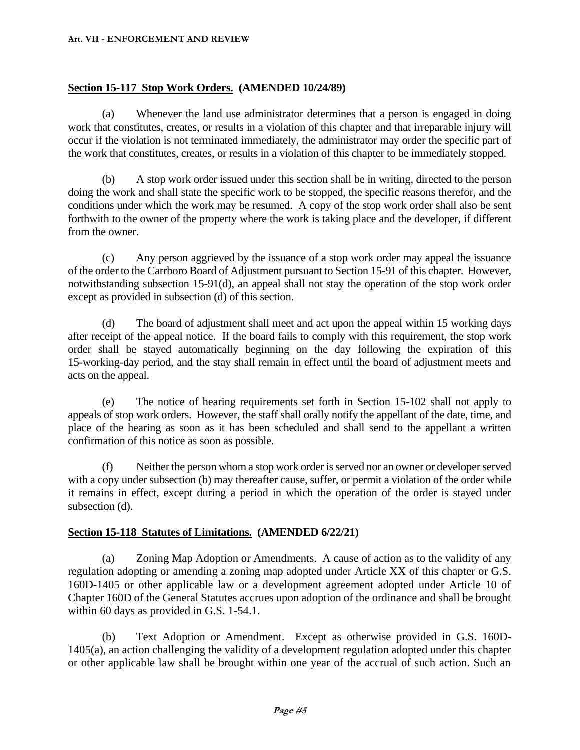#### **Art. VII - ENFORCEMENT AND REVIEW**

### **Section 15-117 Stop Work Orders. (AMENDED 10/24/89)**

(a) Whenever the land use administrator determines that a person is engaged in doing work that constitutes, creates, or results in a violation of this chapter and that irreparable injury will occur if the violation is not terminated immediately, the administrator may order the specific part of the work that constitutes, creates, or results in a violation of this chapter to be immediately stopped.

(b) A stop work order issued under this section shall be in writing, directed to the person doing the work and shall state the specific work to be stopped, the specific reasons therefor, and the conditions under which the work may be resumed. A copy of the stop work order shall also be sent forthwith to the owner of the property where the work is taking place and the developer, if different from the owner.

(c) Any person aggrieved by the issuance of a stop work order may appeal the issuance of the order to the Carrboro Board of Adjustment pursuant to Section 15-91 of this chapter. However, notwithstanding subsection 15-91(d), an appeal shall not stay the operation of the stop work order except as provided in subsection (d) of this section.

(d) The board of adjustment shall meet and act upon the appeal within 15 working days after receipt of the appeal notice. If the board fails to comply with this requirement, the stop work order shall be stayed automatically beginning on the day following the expiration of this 15-working-day period, and the stay shall remain in effect until the board of adjustment meets and acts on the appeal.

(e) The notice of hearing requirements set forth in Section 15-102 shall not apply to appeals of stop work orders. However, the staff shall orally notify the appellant of the date, time, and place of the hearing as soon as it has been scheduled and shall send to the appellant a written confirmation of this notice as soon as possible.

(f) Neither the person whom a stop work order is served nor an owner or developer served with a copy under subsection (b) may thereafter cause, suffer, or permit a violation of the order while it remains in effect, except during a period in which the operation of the order is stayed under subsection (d).

#### **Section 15-118 Statutes of Limitations. (AMENDED 6/22/21)**

(a) Zoning Map Adoption or Amendments. A cause of action as to the validity of any regulation adopting or amending a zoning map adopted under Article XX of this chapter or G.S. 160D-1405 or other applicable law or a development agreement adopted under Article 10 of Chapter 160D of the General Statutes accrues upon adoption of the ordinance and shall be brought within 60 days as provided in G.S. 1-54.1.

(b) Text Adoption or Amendment. Except as otherwise provided in G.S. 160D-1405(a), an action challenging the validity of a development regulation adopted under this chapter or other applicable law shall be brought within one year of the accrual of such action. Such an